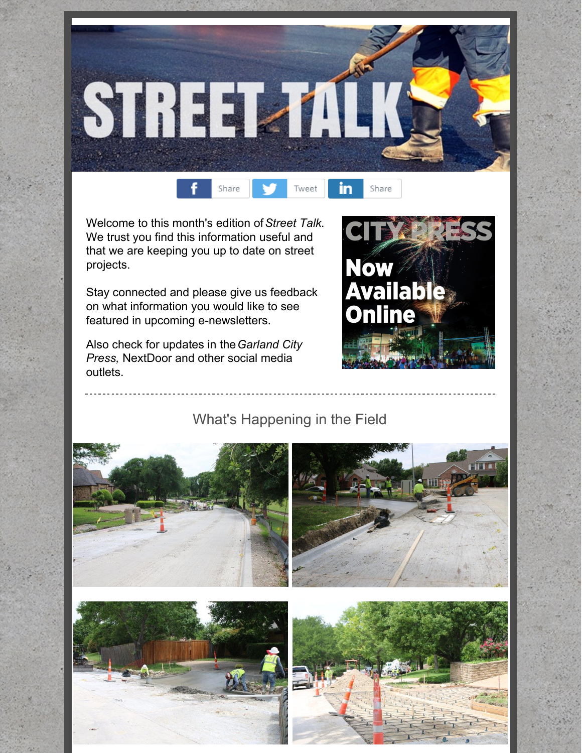



Welcome to this month's edition of*Street Talk*. We trust you find this information useful and that we are keeping you up to date on street projects.

Stay connected and please give us feedback on what information you would like to see featured in upcoming e-newsletters.

Also check for updates in the*Garland City Press,* NextDoor and other social media outlets.



What's Happening in the Field

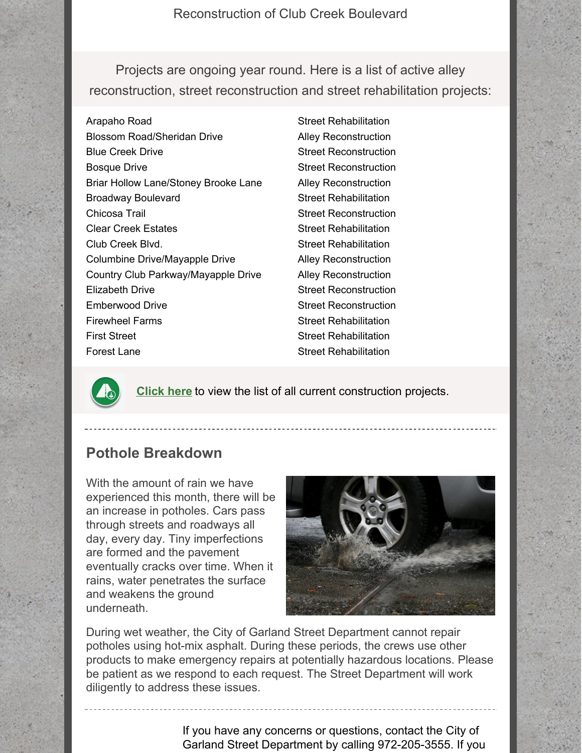Reconstruction of Club Creek Boulevard

Projects are ongoing year round. Here is a list of active alley reconstruction, street reconstruction and street rehabilitation projects:

Arapaho Road Blossom Road/Sheridan Drive Blue Creek Drive Bosque Drive Briar Hollow Lane/Stoney Brooke Lane Broadway Boulevard Chicosa Trail Clear Creek Estates Club Creek Blvd. Columbine Drive/Mayapple Drive Country Club Parkway/Mayapple Drive Elizabeth Drive Emberwood Drive Firewheel Farms First Street Forest Lane

Street Rehabilitation Alley Reconstruction Street Reconstruction Street Reconstruction Alley Reconstruction Street Rehabilitation Street Reconstruction Street Rehabilitation Street Rehabilitation Alley Reconstruction Alley Reconstruction Street Reconstruction Street Reconstruction Street Rehabilitation Street Rehabilitation Street Rehabilitation



**[Click](http://www.garlandtx.gov/877/Current-Projects) here** to view the list of all current construction projects.

## **Pothole Breakdown**

With the amount of rain we have experienced this month, there will be an increase in potholes. Cars pass through streets and roadways all day, every day. Tiny imperfections are formed and the pavement eventually cracks over time. When it rains, water penetrates the surface and weakens the ground underneath.



During wet weather, the City of Garland Street Department cannot repair potholes using hot-mix asphalt. During these periods, the crews use other products to make emergency repairs at potentially hazardous locations. Please be patient as we respond to each request. The Street Department will work diligently to address these issues.

> If you have any concerns or questions, contact the City of Garland Street Department by calling 972-205-3555. If you